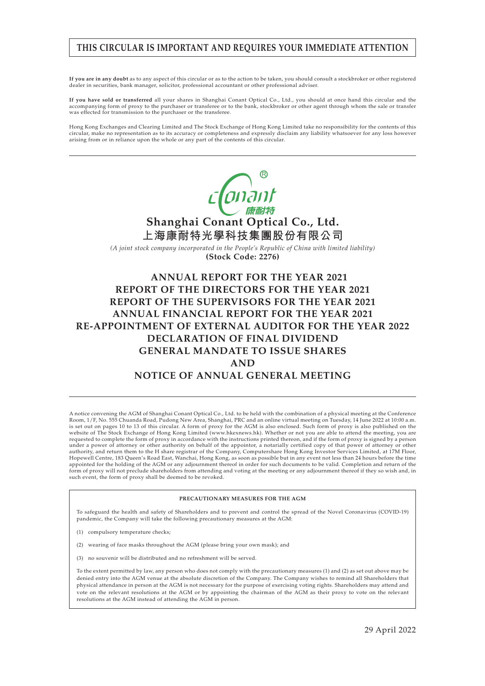## **THIS CIRCULAR IS IMPORTANT AND REQUIRES YOUR IMMEDIATE ATTENTION**

**If you are in any doubt** as to any aspect of this circular or as to the action to be taken, you should consult a stockbroker or other registered dealer in securities, bank manager, solicitor, professional accountant or other professional adviser.

**If you have sold or transferred** all your shares in Shanghai Conant Optical Co., Ltd., you should at once hand this circular and the accompanying form of proxy to the purchaser or transferee or to the bank, stockbroker or other agent through whom the sale or transfer was effected for transmission to the purchaser or the transferee.

Hong Kong Exchanges and Clearing Limited and The Stock Exchange of Hong Kong Limited take no responsibility for the contents of this circular, make no representation as to its accuracy or completeness and expressly disclaim any liability whatsoever for any loss however arising from or in reliance upon the whole or any part of the contents of this circular.



**ANNUAL REPORT FOR THE YEAR 2021 REPORT OF THE DIRECTORS FOR THE YEAR 2021 REPORT OF THE SUPERVISORS FOR THE YEAR 2021 ANNUAL FINANCIAL REPORT FOR THE YEAR 2021 RE-APPOINTMENT OF EXTERNAL AUDITOR FOR THE YEAR 2022 DECLARATION OF FINAL DIVIDEND GENERAL MANDATE TO ISSUE SHARES AND NOTICE OF ANNUAL GENERAL MEETING**

A notice convening the AGM of Shanghai Conant Optical Co., Ltd. to be held with the combination of a physical meeting at the Conference<br>Room, 1/F, No. 555 Chuanda Road, Pudong New Area, Shanghai, PRC and an online virtual is set out on pages 10 to 13 of this circular. A form of proxy for the AGM is also enclosed. Such form of proxy is also published on the website of The Stock Exchange of Hong Kong Limited (www.hkexnews.hk). Whether or not you are able to attend the meeting, you are requested to complete the form of proxy in accordance with the instructions printed thereon, and if the form of proxy is signed by a person under a power of attorney or other authority on behalf of the appointor, a notarially certified copy of that power of attorney or other authority, and return them to the H share registrar of the Company, Computershare Hong Kong Investor Services Limited, at 17M Floor, Hopewell Centre, 183 Queen's Road East, Wanchai, Hong Kong, as soon as possible but in any event not less than 24 hours before the time appointed for the holding of the AGM or any adjournment thereof in order for such documents to be valid. Completion and return of the<br>form of proxy will not preclude shareholders from attending and voting at the meeting or such event, the form of proxy shall be deemed to be revoked.

#### **PRECAUTIONARY MEASURES FOR THE AGM**

To safeguard the health and safety of Shareholders and to prevent and control the spread of the Novel Coronavirus (COVID-19) pandemic, the Company will take the following precautionary measures at the AGM:

- (1) compulsory temperature checks;
- (2) wearing of face masks throughout the AGM (please bring your own mask); and
- (3) no souvenir will be distributed and no refreshment will be served.

To the extent permitted by law, any person who does not comply with the precautionary measures (1) and (2) as set out above may be denied entry into the AGM venue at the absolute discretion of the Company. The Company wishes to remind all Shareholders that physical attendance in person at the AGM is not necessary for the purpose of exercising voting rights. Shareholders may attend and vote on the relevant resolutions at the AGM or by appointing the chairman of the AGM as their proxy to vote on the relevant resolutions at the AGM instead of attending the AGM in person.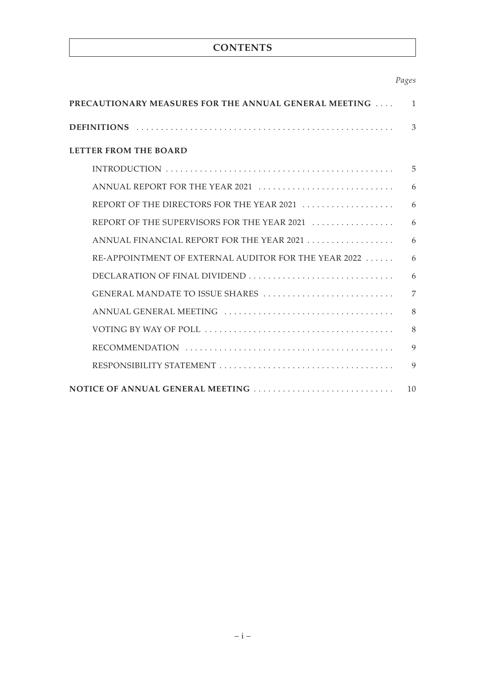## **CONTENTS**

## *Pages*

| <b>PRECAUTIONARY MEASURES FOR THE ANNUAL GENERAL MEETING</b><br>$\mathbf{1}$              |              |  |
|-------------------------------------------------------------------------------------------|--------------|--|
|                                                                                           | 3            |  |
| <b>LETTER FROM THE BOARD</b>                                                              |              |  |
| INTRODUCTION                                                                              | 5            |  |
| ANNUAL REPORT FOR THE YEAR 2021 $\ldots \ldots \ldots \ldots \ldots \ldots \ldots \ldots$ | 6            |  |
| REPORT OF THE DIRECTORS FOR THE YEAR 2021                                                 | 6            |  |
| REPORT OF THE SUPERVISORS FOR THE YEAR 2021                                               | 6            |  |
| ANNUAL FINANCIAL REPORT FOR THE YEAR 2021                                                 | 6            |  |
| RE-APPOINTMENT OF EXTERNAL AUDITOR FOR THE YEAR 2022                                      | 6            |  |
| DECLARATION OF FINAL DIVIDEND                                                             | 6            |  |
| GENERAL MANDATE TO ISSUE SHARES                                                           | 7            |  |
|                                                                                           | 8            |  |
|                                                                                           | 8            |  |
|                                                                                           | $\mathbf Q$  |  |
|                                                                                           | $\mathbf{Q}$ |  |
| NOTICE OF ANNUAL GENERAL MEETING                                                          | 10           |  |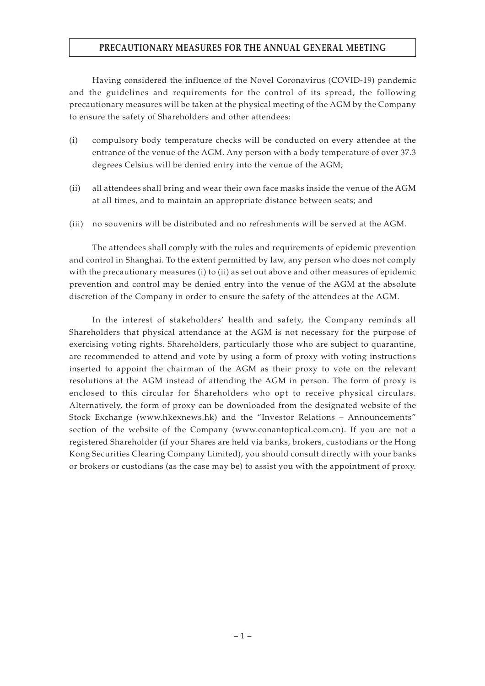## **PRECAUTIONARY MEASURES FOR THE ANNUAL GENERAL MEETING**

Having considered the influence of the Novel Coronavirus (COVID-19) pandemic and the guidelines and requirements for the control of its spread, the following precautionary measures will be taken at the physical meeting of the AGM by the Company to ensure the safety of Shareholders and other attendees:

- (i) compulsory body temperature checks will be conducted on every attendee at the entrance of the venue of the AGM. Any person with a body temperature of over 37.3 degrees Celsius will be denied entry into the venue of the AGM;
- (ii) all attendees shall bring and wear their own face masks inside the venue of the AGM at all times, and to maintain an appropriate distance between seats; and
- (iii) no souvenirs will be distributed and no refreshments will be served at the AGM.

The attendees shall comply with the rules and requirements of epidemic prevention and control in Shanghai. To the extent permitted by law, any person who does not comply with the precautionary measures (i) to (ii) as set out above and other measures of epidemic prevention and control may be denied entry into the venue of the AGM at the absolute discretion of the Company in order to ensure the safety of the attendees at the AGM.

In the interest of stakeholders' health and safety, the Company reminds all Shareholders that physical attendance at the AGM is not necessary for the purpose of exercising voting rights. Shareholders, particularly those who are subject to quarantine, are recommended to attend and vote by using a form of proxy with voting instructions inserted to appoint the chairman of the AGM as their proxy to vote on the relevant resolutions at the AGM instead of attending the AGM in person. The form of proxy is enclosed to this circular for Shareholders who opt to receive physical circulars. Alternatively, the form of proxy can be downloaded from the designated website of the Stock Exchange (www.hkexnews.hk) and the "Investor Relations – Announcements" section of the website of the Company (www.conantoptical.com.cn). If you are not a registered Shareholder (if your Shares are held via banks, brokers, custodians or the Hong Kong Securities Clearing Company Limited), you should consult directly with your banks or brokers or custodians (as the case may be) to assist you with the appointment of proxy.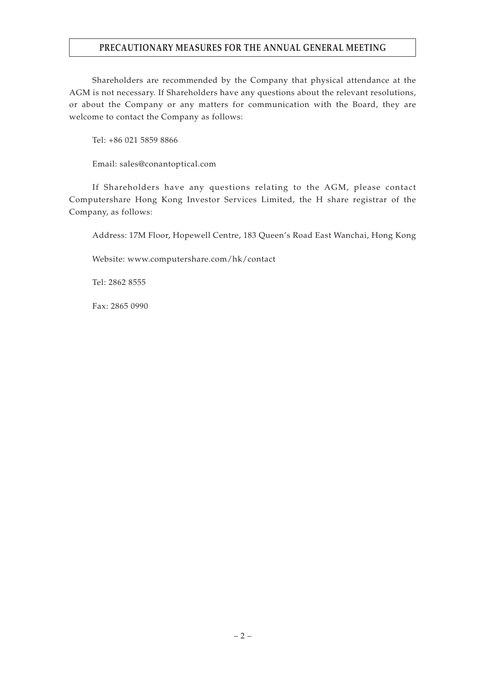## **PRECAUTIONARY MEASURES FOR THE ANNUAL GENERAL MEETING**

Shareholders are recommended by the Company that physical attendance at the AGM is not necessary. If Shareholders have any questions about the relevant resolutions, or about the Company or any matters for communication with the Board, they are welcome to contact the Company as follows:

Tel: +86 021 5859 8866

Email: sales@conantoptical.com

If Shareholders have any questions relating to the AGM, please contact Computershare Hong Kong Investor Services Limited, the H share registrar of the Company, as follows:

Address: 17M Floor, Hopewell Centre, 183 Queen's Road East Wanchai, Hong Kong

Website: www.computershare.com/hk/contact

Tel: 2862 8555

Fax: 2865 0990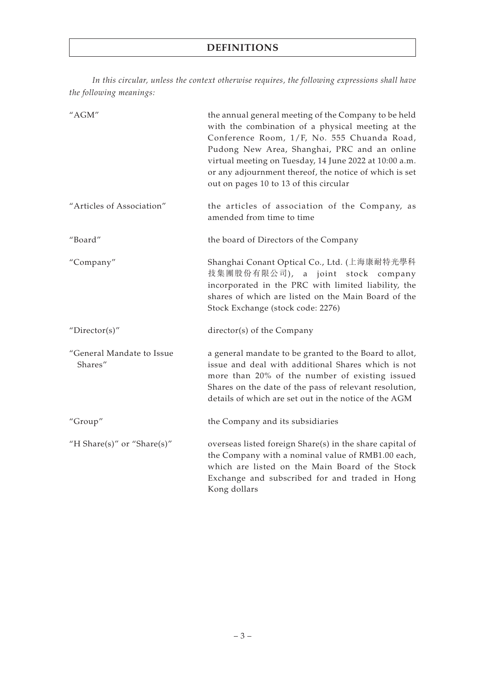*In this circular, unless the context otherwise requires, the following expressions shall have the following meanings:*

| "AGM"                                | the annual general meeting of the Company to be held<br>with the combination of a physical meeting at the<br>Conference Room, 1/F, No. 555 Chuanda Road,<br>Pudong New Area, Shanghai, PRC and an online<br>virtual meeting on Tuesday, 14 June 2022 at 10:00 a.m.<br>or any adjournment thereof, the notice of which is set<br>out on pages 10 to 13 of this circular |
|--------------------------------------|------------------------------------------------------------------------------------------------------------------------------------------------------------------------------------------------------------------------------------------------------------------------------------------------------------------------------------------------------------------------|
| "Articles of Association"            | the articles of association of the Company, as<br>amended from time to time                                                                                                                                                                                                                                                                                            |
| "Board"                              | the board of Directors of the Company                                                                                                                                                                                                                                                                                                                                  |
| "Company"                            | Shanghai Conant Optical Co., Ltd. (上海康耐特光學科<br>技集團股份有限公司), a joint stock company<br>incorporated in the PRC with limited liability, the<br>shares of which are listed on the Main Board of the<br>Stock Exchange (stock code: 2276)                                                                                                                                    |
| "Director(s)"                        | director(s) of the Company                                                                                                                                                                                                                                                                                                                                             |
| "General Mandate to Issue<br>Shares" | a general mandate to be granted to the Board to allot,<br>issue and deal with additional Shares which is not<br>more than 20% of the number of existing issued<br>Shares on the date of the pass of relevant resolution,<br>details of which are set out in the notice of the AGM                                                                                      |
| "Group"                              | the Company and its subsidiaries                                                                                                                                                                                                                                                                                                                                       |
| "H Share(s)" or "Share(s)"           | overseas listed foreign Share(s) in the share capital of<br>the Company with a nominal value of RMB1.00 each,<br>which are listed on the Main Board of the Stock<br>Exchange and subscribed for and traded in Hong<br>Kong dollars                                                                                                                                     |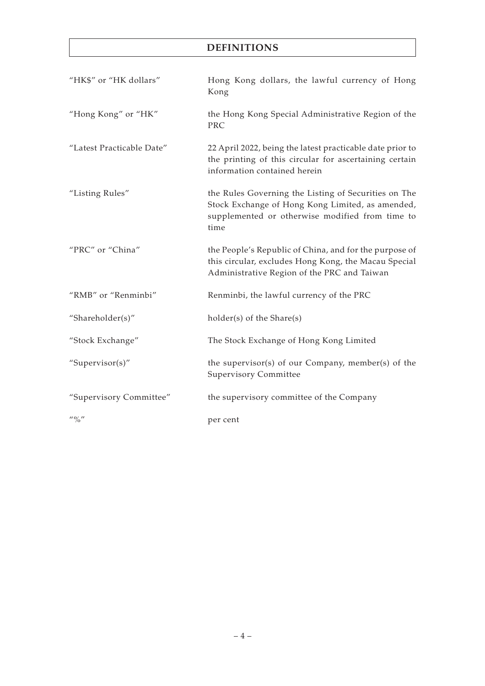## **DEFINITIONS**

| "HK\$" or "HK dollars"                                                       | Hong Kong dollars, the lawful currency of Hong<br>Kong                                                                                                              |
|------------------------------------------------------------------------------|---------------------------------------------------------------------------------------------------------------------------------------------------------------------|
| "Hong Kong" or "HK"                                                          | the Hong Kong Special Administrative Region of the<br><b>PRC</b>                                                                                                    |
| "Latest Practicable Date"                                                    | 22 April 2022, being the latest practicable date prior to<br>the printing of this circular for ascertaining certain<br>information contained herein                 |
| "Listing Rules"                                                              | the Rules Governing the Listing of Securities on The<br>Stock Exchange of Hong Kong Limited, as amended,<br>supplemented or otherwise modified from time to<br>time |
| "PRC" or "China"                                                             | the People's Republic of China, and for the purpose of<br>this circular, excludes Hong Kong, the Macau Special<br>Administrative Region of the PRC and Taiwan       |
| "RMB" or "Renminbi"                                                          | Renminbi, the lawful currency of the PRC                                                                                                                            |
| "Shareholder(s)"                                                             | holder(s) of the Share(s)                                                                                                                                           |
| "Stock Exchange"                                                             | The Stock Exchange of Hong Kong Limited                                                                                                                             |
| "Supervisor(s)"                                                              | the supervisor(s) of our Company, member(s) of the<br><b>Supervisory Committee</b>                                                                                  |
| "Supervisory Committee"                                                      | the supervisory committee of the Company                                                                                                                            |
| $^{\prime\prime}$ ( $^{\prime\prime}$ ) <sup><math>\prime\prime</math></sup> | per cent                                                                                                                                                            |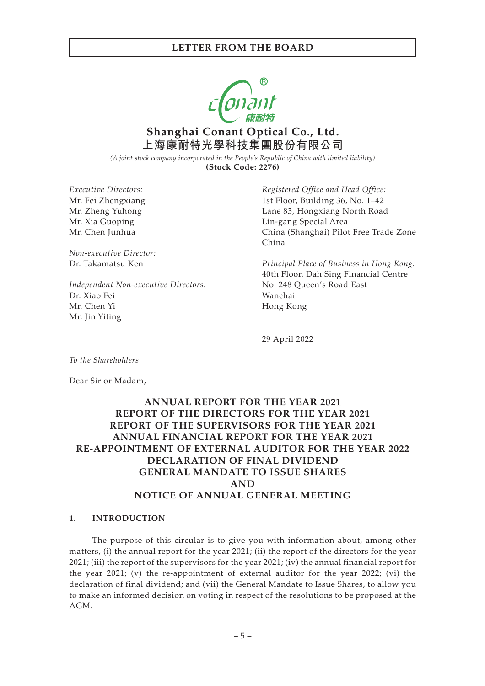

**Shanghai Conant Optical Co., Ltd. 上海康耐特光學科技集團股份有限公司**

*(A joint stock company incorporated in the People's Republic of China with limited liability)* **(Stock Code: 2276)**

*Executive Directors:* Mr. Fei Zhengxiang Mr. Zheng Yuhong Mr. Xia Guoping Mr. Chen Junhua

*Non-executive Director:* Dr. Takamatsu Ken

*Independent Non-executive Directors:* Dr. Xiao Fei Mr. Chen Yi Mr. Jin Yiting

*Registered Office and Head Office:* 1st Floor, Building 36, No. 1–42 Lane 83, Hongxiang North Road Lin-gang Special Area China (Shanghai) Pilot Free Trade Zone China

*Principal Place of Business in Hong Kong:* 40th Floor, Dah Sing Financial Centre No. 248 Queen's Road East Wanchai Hong Kong

29 April 2022

*To the Shareholders*

Dear Sir or Madam,

## **ANNUAL REPORT FOR THE YEAR 2021 REPORT OF THE DIRECTORS FOR THE YEAR 2021 REPORT OF THE SUPERVISORS FOR THE YEAR 2021 ANNUAL FINANCIAL REPORT FOR THE YEAR 2021 RE-APPOINTMENT OF EXTERNAL AUDITOR FOR THE YEAR 2022 DECLARATION OF FINAL DIVIDEND GENERAL MANDATE TO ISSUE SHARES AND NOTICE OF ANNUAL GENERAL MEETING**

#### **1. INTRODUCTION**

The purpose of this circular is to give you with information about, among other matters, (i) the annual report for the year 2021; (ii) the report of the directors for the year 2021; (iii) the report of the supervisors for the year 2021; (iv) the annual financial report for the year 2021; (v) the re-appointment of external auditor for the year 2022; (vi) the declaration of final dividend; and (vii) the General Mandate to Issue Shares, to allow you to make an informed decision on voting in respect of the resolutions to be proposed at the AGM.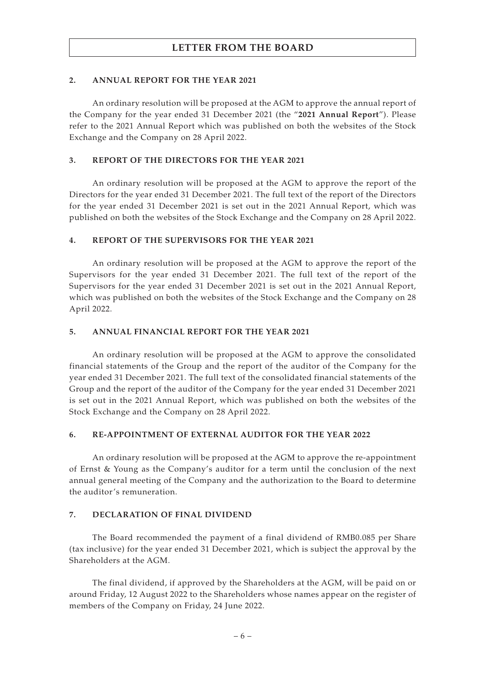### **2. ANNUAL REPORT FOR THE YEAR 2021**

An ordinary resolution will be proposed at the AGM to approve the annual report of the Company for the year ended 31 December 2021 (the "**2021 Annual Report**"). Please refer to the 2021 Annual Report which was published on both the websites of the Stock Exchange and the Company on 28 April 2022.

### **3. REPORT OF THE DIRECTORS FOR THE YEAR 2021**

An ordinary resolution will be proposed at the AGM to approve the report of the Directors for the year ended 31 December 2021. The full text of the report of the Directors for the year ended 31 December 2021 is set out in the 2021 Annual Report, which was published on both the websites of the Stock Exchange and the Company on 28 April 2022.

### **4. REPORT OF THE SUPERVISORS FOR THE YEAR 2021**

An ordinary resolution will be proposed at the AGM to approve the report of the Supervisors for the year ended 31 December 2021. The full text of the report of the Supervisors for the year ended 31 December 2021 is set out in the 2021 Annual Report, which was published on both the websites of the Stock Exchange and the Company on 28 April 2022.

### **5. ANNUAL FINANCIAL REPORT FOR THE YEAR 2021**

An ordinary resolution will be proposed at the AGM to approve the consolidated financial statements of the Group and the report of the auditor of the Company for the year ended 31 December 2021. The full text of the consolidated financial statements of the Group and the report of the auditor of the Company for the year ended 31 December 2021 is set out in the 2021 Annual Report, which was published on both the websites of the Stock Exchange and the Company on 28 April 2022.

### **6. RE-APPOINTMENT OF EXTERNAL AUDITOR FOR THE YEAR 2022**

An ordinary resolution will be proposed at the AGM to approve the re-appointment of Ernst & Young as the Company's auditor for a term until the conclusion of the next annual general meeting of the Company and the authorization to the Board to determine the auditor's remuneration.

### **7. DECLARATION OF FINAL DIVIDEND**

The Board recommended the payment of a final dividend of RMB0.085 per Share (tax inclusive) for the year ended 31 December 2021, which is subject the approval by the Shareholders at the AGM.

The final dividend, if approved by the Shareholders at the AGM, will be paid on or around Friday, 12 August 2022 to the Shareholders whose names appear on the register of members of the Company on Friday, 24 June 2022.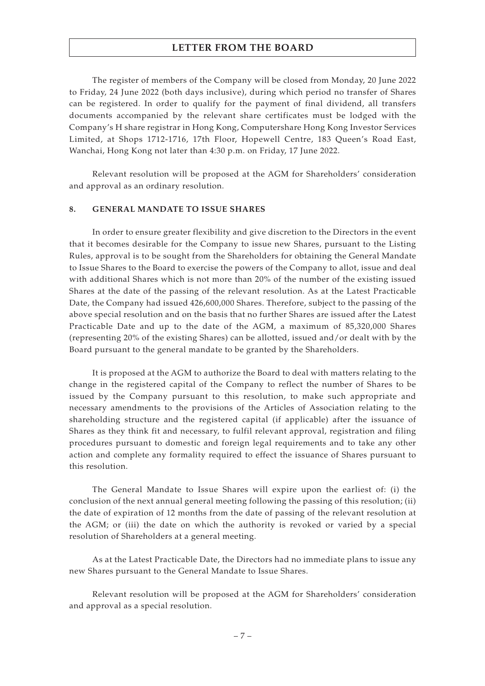The register of members of the Company will be closed from Monday, 20 June 2022 to Friday, 24 June 2022 (both days inclusive), during which period no transfer of Shares can be registered. In order to qualify for the payment of final dividend, all transfers documents accompanied by the relevant share certificates must be lodged with the Company's H share registrar in Hong Kong, Computershare Hong Kong Investor Services Limited, at Shops 1712-1716, 17th Floor, Hopewell Centre, 183 Queen's Road East, Wanchai, Hong Kong not later than 4:30 p.m. on Friday, 17 June 2022.

Relevant resolution will be proposed at the AGM for Shareholders' consideration and approval as an ordinary resolution.

#### **8. GENERAL MANDATE TO ISSUE SHARES**

In order to ensure greater flexibility and give discretion to the Directors in the event that it becomes desirable for the Company to issue new Shares, pursuant to the Listing Rules, approval is to be sought from the Shareholders for obtaining the General Mandate to Issue Shares to the Board to exercise the powers of the Company to allot, issue and deal with additional Shares which is not more than 20% of the number of the existing issued Shares at the date of the passing of the relevant resolution. As at the Latest Practicable Date, the Company had issued 426,600,000 Shares. Therefore, subject to the passing of the above special resolution and on the basis that no further Shares are issued after the Latest Practicable Date and up to the date of the AGM, a maximum of 85,320,000 Shares (representing 20% of the existing Shares) can be allotted, issued and/or dealt with by the Board pursuant to the general mandate to be granted by the Shareholders.

It is proposed at the AGM to authorize the Board to deal with matters relating to the change in the registered capital of the Company to reflect the number of Shares to be issued by the Company pursuant to this resolution, to make such appropriate and necessary amendments to the provisions of the Articles of Association relating to the shareholding structure and the registered capital (if applicable) after the issuance of Shares as they think fit and necessary, to fulfil relevant approval, registration and filing procedures pursuant to domestic and foreign legal requirements and to take any other action and complete any formality required to effect the issuance of Shares pursuant to this resolution.

The General Mandate to Issue Shares will expire upon the earliest of: (i) the conclusion of the next annual general meeting following the passing of this resolution; (ii) the date of expiration of 12 months from the date of passing of the relevant resolution at the AGM; or (iii) the date on which the authority is revoked or varied by a special resolution of Shareholders at a general meeting.

As at the Latest Practicable Date, the Directors had no immediate plans to issue any new Shares pursuant to the General Mandate to Issue Shares.

Relevant resolution will be proposed at the AGM for Shareholders' consideration and approval as a special resolution.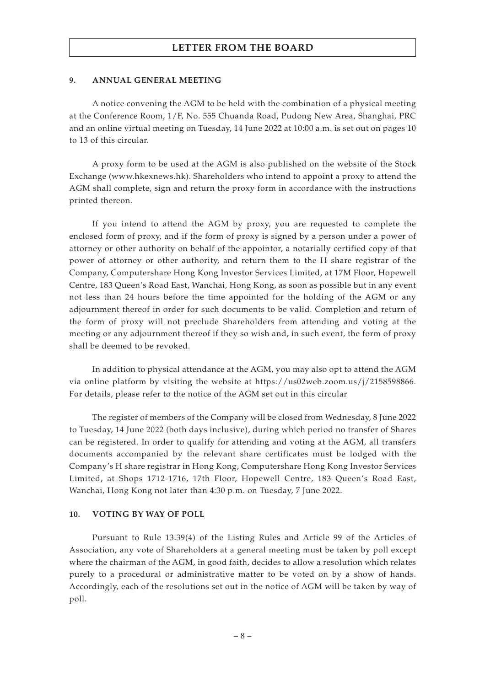#### **9. ANNUAL GENERAL MEETING**

A notice convening the AGM to be held with the combination of a physical meeting at the Conference Room, 1/F, No. 555 Chuanda Road, Pudong New Area, Shanghai, PRC and an online virtual meeting on Tuesday, 14 June 2022 at 10:00 a.m. is set out on pages 10 to 13 of this circular.

A proxy form to be used at the AGM is also published on the website of the Stock Exchange (www.hkexnews.hk). Shareholders who intend to appoint a proxy to attend the AGM shall complete, sign and return the proxy form in accordance with the instructions printed thereon.

If you intend to attend the AGM by proxy, you are requested to complete the enclosed form of proxy, and if the form of proxy is signed by a person under a power of attorney or other authority on behalf of the appointor, a notarially certified copy of that power of attorney or other authority, and return them to the H share registrar of the Company, Computershare Hong Kong Investor Services Limited, at 17M Floor, Hopewell Centre, 183 Queen's Road East, Wanchai, Hong Kong, as soon as possible but in any event not less than 24 hours before the time appointed for the holding of the AGM or any adjournment thereof in order for such documents to be valid. Completion and return of the form of proxy will not preclude Shareholders from attending and voting at the meeting or any adjournment thereof if they so wish and, in such event, the form of proxy shall be deemed to be revoked.

In addition to physical attendance at the AGM, you may also opt to attend the AGM via online platform by visiting the website at https://us02web.zoom.us/j/2158598866. For details, please refer to the notice of the AGM set out in this circular

The register of members of the Company will be closed from Wednesday, 8 June 2022 to Tuesday, 14 June 2022 (both days inclusive), during which period no transfer of Shares can be registered. In order to qualify for attending and voting at the AGM, all transfers documents accompanied by the relevant share certificates must be lodged with the Company's H share registrar in Hong Kong, Computershare Hong Kong Investor Services Limited, at Shops 1712-1716, 17th Floor, Hopewell Centre, 183 Queen's Road East, Wanchai, Hong Kong not later than 4:30 p.m. on Tuesday, 7 June 2022.

#### **10. VOTING BY WAY OF POLL**

Pursuant to Rule 13.39(4) of the Listing Rules and Article 99 of the Articles of Association, any vote of Shareholders at a general meeting must be taken by poll except where the chairman of the AGM, in good faith, decides to allow a resolution which relates purely to a procedural or administrative matter to be voted on by a show of hands. Accordingly, each of the resolutions set out in the notice of AGM will be taken by way of poll.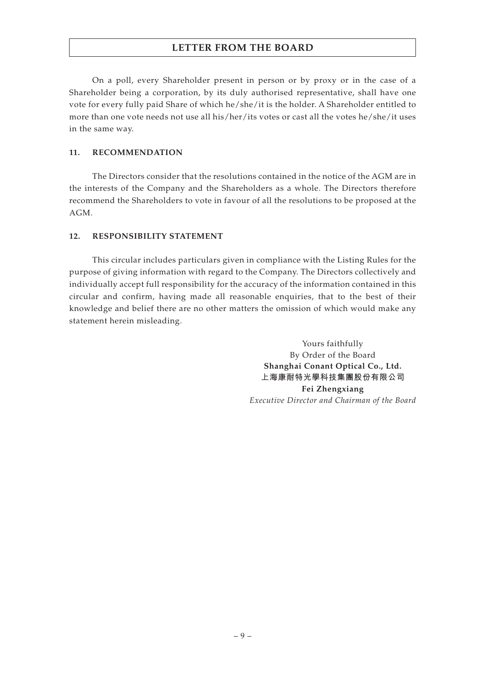On a poll, every Shareholder present in person or by proxy or in the case of a Shareholder being a corporation, by its duly authorised representative, shall have one vote for every fully paid Share of which he/she/it is the holder. A Shareholder entitled to more than one vote needs not use all his/her/its votes or cast all the votes he/she/it uses in the same way.

### **11. RECOMMENDATION**

The Directors consider that the resolutions contained in the notice of the AGM are in the interests of the Company and the Shareholders as a whole. The Directors therefore recommend the Shareholders to vote in favour of all the resolutions to be proposed at the AGM.

### **12. RESPONSIBILITY STATEMENT**

This circular includes particulars given in compliance with the Listing Rules for the purpose of giving information with regard to the Company. The Directors collectively and individually accept full responsibility for the accuracy of the information contained in this circular and confirm, having made all reasonable enquiries, that to the best of their knowledge and belief there are no other matters the omission of which would make any statement herein misleading.

> Yours faithfully By Order of the Board **Shanghai Conant Optical Co., Ltd. 上海康耐特光學科技集團股份有限公司 Fei Zhengxiang** *Executive Director and Chairman of the Board*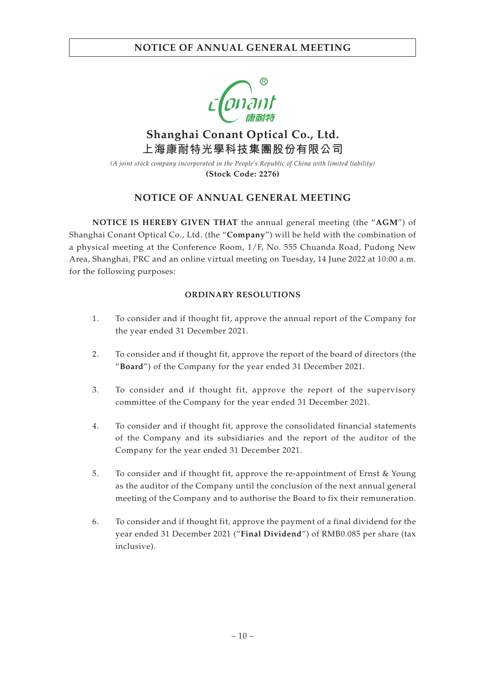

# **Shanghai Conant Optical Co., Ltd. 上海康耐特光學科技集團股份有限公司**

*(A joint stock company incorporated in the People's Republic of China with limited liability)* **(Stock Code: 2276)**

## **NOTICE OF ANNUAL GENERAL MEETING**

**NOTICE IS HEREBY GIVEN THAT** the annual general meeting (the "**AGM**") of Shanghai Conant Optical Co., Ltd. (the "**Company**") will be held with the combination of a physical meeting at the Conference Room, 1/F, No. 555 Chuanda Road, Pudong New Area, Shanghai, PRC and an online virtual meeting on Tuesday, 14 June 2022 at 10:00 a.m. for the following purposes:

### **ORDINARY RESOLUTIONS**

- 1. To consider and if thought fit, approve the annual report of the Company for the year ended 31 December 2021.
- 2. To consider and if thought fit, approve the report of the board of directors (the "**Board**") of the Company for the year ended 31 December 2021.
- 3. To consider and if thought fit, approve the report of the supervisory committee of the Company for the year ended 31 December 2021.
- 4. To consider and if thought fit, approve the consolidated financial statements of the Company and its subsidiaries and the report of the auditor of the Company for the year ended 31 December 2021.
- 5. To consider and if thought fit, approve the re-appointment of Ernst & Young as the auditor of the Company until the conclusion of the next annual general meeting of the Company and to authorise the Board to fix their remuneration.
- 6. To consider and if thought fit, approve the payment of a final dividend for the year ended 31 December 2021 ("**Final Dividend**") of RMB0.085 per share (tax inclusive).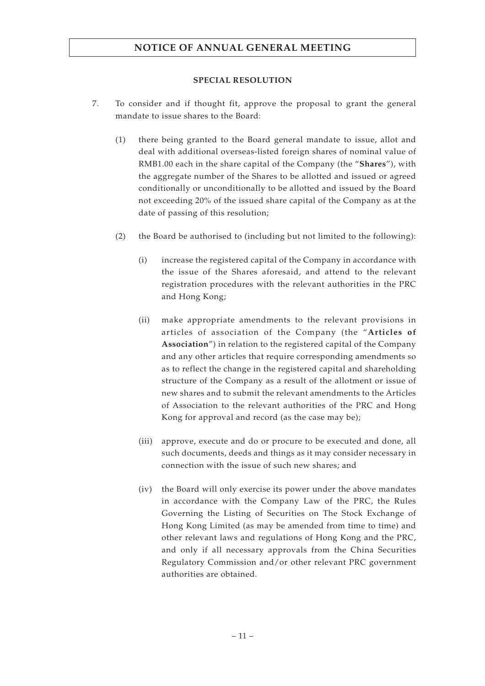## **NOTICE OF ANNUAL GENERAL MEETING**

### **SPECIAL RESOLUTION**

- 7. To consider and if thought fit, approve the proposal to grant the general mandate to issue shares to the Board:
	- (1) there being granted to the Board general mandate to issue, allot and deal with additional overseas-listed foreign shares of nominal value of RMB1.00 each in the share capital of the Company (the "**Shares**"), with the aggregate number of the Shares to be allotted and issued or agreed conditionally or unconditionally to be allotted and issued by the Board not exceeding 20% of the issued share capital of the Company as at the date of passing of this resolution;
	- (2) the Board be authorised to (including but not limited to the following):
		- (i) increase the registered capital of the Company in accordance with the issue of the Shares aforesaid, and attend to the relevant registration procedures with the relevant authorities in the PRC and Hong Kong;
		- (ii) make appropriate amendments to the relevant provisions in articles of association of the Company (the "**Articles of Association**") in relation to the registered capital of the Company and any other articles that require corresponding amendments so as to reflect the change in the registered capital and shareholding structure of the Company as a result of the allotment or issue of new shares and to submit the relevant amendments to the Articles of Association to the relevant authorities of the PRC and Hong Kong for approval and record (as the case may be);
		- (iii) approve, execute and do or procure to be executed and done, all such documents, deeds and things as it may consider necessary in connection with the issue of such new shares; and
		- (iv) the Board will only exercise its power under the above mandates in accordance with the Company Law of the PRC, the Rules Governing the Listing of Securities on The Stock Exchange of Hong Kong Limited (as may be amended from time to time) and other relevant laws and regulations of Hong Kong and the PRC, and only if all necessary approvals from the China Securities Regulatory Commission and/or other relevant PRC government authorities are obtained.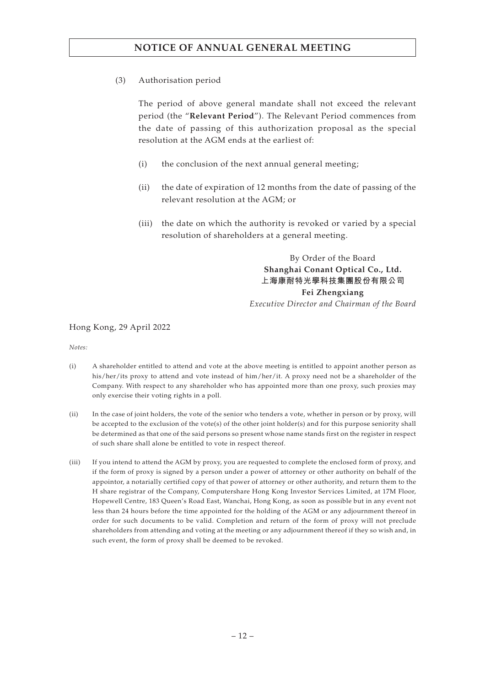## **NOTICE OF ANNUAL GENERAL MEETING**

(3) Authorisation period

The period of above general mandate shall not exceed the relevant period (the "**Relevant Period**"). The Relevant Period commences from the date of passing of this authorization proposal as the special resolution at the AGM ends at the earliest of:

- (i) the conclusion of the next annual general meeting;
- (ii) the date of expiration of 12 months from the date of passing of the relevant resolution at the AGM; or
- (iii) the date on which the authority is revoked or varied by a special resolution of shareholders at a general meeting.

By Order of the Board **Shanghai Conant Optical Co., Ltd. 上海康耐特光學科技集團股份有限公司 Fei Zhengxiang** *Executive Director and Chairman of the Board*

### Hong Kong, 29 April 2022

*Notes:*

- (i) A shareholder entitled to attend and vote at the above meeting is entitled to appoint another person as his/her/its proxy to attend and vote instead of him/her/it. A proxy need not be a shareholder of the Company. With respect to any shareholder who has appointed more than one proxy, such proxies may only exercise their voting rights in a poll.
- (ii) In the case of joint holders, the vote of the senior who tenders a vote, whether in person or by proxy, will be accepted to the exclusion of the vote(s) of the other joint holder(s) and for this purpose seniority shall be determined as that one of the said persons so present whose name stands first on the register in respect of such share shall alone be entitled to vote in respect thereof.
- (iii) If you intend to attend the AGM by proxy, you are requested to complete the enclosed form of proxy, and if the form of proxy is signed by a person under a power of attorney or other authority on behalf of the appointor, a notarially certified copy of that power of attorney or other authority, and return them to the H share registrar of the Company, Computershare Hong Kong Investor Services Limited, at 17M Floor, Hopewell Centre, 183 Queen's Road East, Wanchai, Hong Kong, as soon as possible but in any event not less than 24 hours before the time appointed for the holding of the AGM or any adjournment thereof in order for such documents to be valid. Completion and return of the form of proxy will not preclude shareholders from attending and voting at the meeting or any adjournment thereof if they so wish and, in such event, the form of proxy shall be deemed to be revoked.